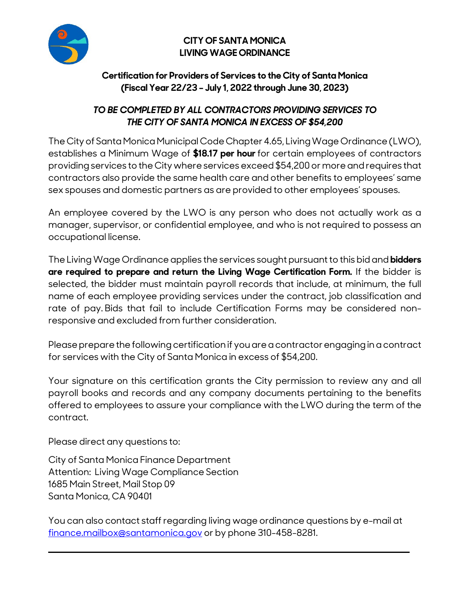

## **CITY OF SANTA MONICA LIVING WAGE ORDINANCE**

## **Certification for Providers of Services to the City of Santa Monica (Fiscal Year 22/23 – July 1, 2022 through June 30, 2023)**

# **TO BE COMPLETED BY ALL CONTRACTORS PROVIDING SERVICES TO THE CITY OF SANTA MONICA IN EXCESS OF \$54,200**

The City of Santa Monica Municipal Code Chapter 4.65, Living Wage Ordinance (LWO), establishes a Minimum Wage of **\$18.17 per hour** for certain employees of contractors providing services to the City where services exceed \$54,200 or more and requires that contractors also provide the same health care and other benefits to employees' same sex spouses and domestic partners as are provided to other employees' spouses.

An employee covered by the LWO is any person who does not actually work as a manager, supervisor, or confidential employee, and who is not required to possess an occupational license.

The Living Wage Ordinance applies the services sought pursuant to this bid and **bidders are required to prepare and return the Living Wage Certification Form.** If the bidder is selected, the bidder must maintain payroll records that include, at minimum, the full name of each employee providing services under the contract, job classification and rate of pay. Bids that fail to include Certification Forms may be considered nonresponsive and excluded from further consideration.

Please prepare the following certification if you are a contractor engaging in a contract for services with the City of Santa Monica in excess of \$54,200.

Your signature on this certification grants the City permission to review any and all payroll books and records and any company documents pertaining to the benefits offered to employees to assure your compliance with the LWO during the term of the contract.

Please direct any questions to:

City of Santa Monica Finance Department Attention: Living Wage Compliance Section 1685 Main Street, Mail Stop 09 Santa Monica, CA 90401

You can also contact staff regarding living wage ordinance questions by e-mail at [finance.mailbox@santamonica.gov](mailto:finance.mailbox@santamonica.gov) or by phone 310-458-8281.